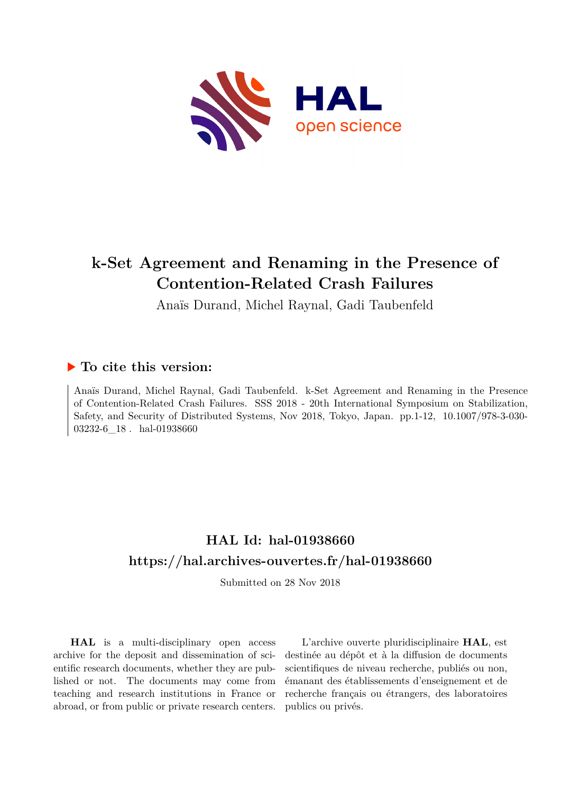

# **k-Set Agreement and Renaming in the Presence of Contention-Related Crash Failures**

Anaïs Durand, Michel Raynal, Gadi Taubenfeld

## **To cite this version:**

Anaïs Durand, Michel Raynal, Gadi Taubenfeld. k-Set Agreement and Renaming in the Presence of Contention-Related Crash Failures. SSS 2018 - 20th International Symposium on Stabilization, Safety, and Security of Distributed Systems, Nov 2018, Tokyo, Japan. pp.1-12, 10.1007/978-3-030-03232-6 18. hal-01938660

# **HAL Id: hal-01938660 <https://hal.archives-ouvertes.fr/hal-01938660>**

Submitted on 28 Nov 2018

**HAL** is a multi-disciplinary open access archive for the deposit and dissemination of scientific research documents, whether they are published or not. The documents may come from teaching and research institutions in France or abroad, or from public or private research centers.

L'archive ouverte pluridisciplinaire **HAL**, est destinée au dépôt et à la diffusion de documents scientifiques de niveau recherche, publiés ou non, émanant des établissements d'enseignement et de recherche français ou étrangers, des laboratoires publics ou privés.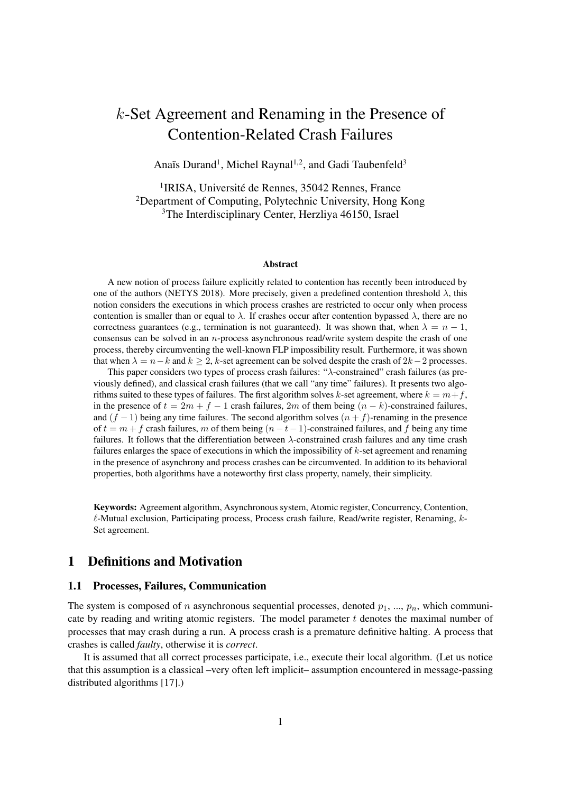# k-Set Agreement and Renaming in the Presence of Contention-Related Crash Failures

Anaïs Durand<sup>1</sup>, Michel Raynal<sup>1,2</sup>, and Gadi Taubenfeld<sup>3</sup>

<sup>1</sup>IRISA, Université de Rennes, 35042 Rennes, France <sup>2</sup>Department of Computing, Polytechnic University, Hong Kong <sup>3</sup>The Interdisciplinary Center, Herzliya 46150, Israel

#### Abstract

A new notion of process failure explicitly related to contention has recently been introduced by one of the authors (NETYS 2018). More precisely, given a predefined contention threshold  $\lambda$ , this notion considers the executions in which process crashes are restricted to occur only when process contention is smaller than or equal to  $\lambda$ . If crashes occur after contention bypassed  $\lambda$ , there are no correctness guarantees (e.g., termination is not guaranteed). It was shown that, when  $\lambda = n - 1$ , consensus can be solved in an  $n$ -process asynchronous read/write system despite the crash of one process, thereby circumventing the well-known FLP impossibility result. Furthermore, it was shown that when  $\lambda = n - k$  and  $k > 2$ , k-set agreement can be solved despite the crash of  $2k-2$  processes.

This paper considers two types of process crash failures: "λ-constrained" crash failures (as previously defined), and classical crash failures (that we call "any time" failures). It presents two algorithms suited to these types of failures. The first algorithm solves k-set agreement, where  $k = m+f$ , in the presence of  $t = 2m + f - 1$  crash failures, 2m of them being  $(n - k)$ -constrained failures, and  $(f - 1)$  being any time failures. The second algorithm solves  $(n + f)$ -renaming in the presence of  $t = m + f$  crash failures, m of them being  $(n - t - 1)$ -constrained failures, and f being any time failures. It follows that the differentiation between λ-constrained crash failures and any time crash failures enlarges the space of executions in which the impossibility of  $k$ -set agreement and renaming in the presence of asynchrony and process crashes can be circumvented. In addition to its behavioral properties, both algorithms have a noteworthy first class property, namely, their simplicity.

Keywords: Agreement algorithm, Asynchronous system, Atomic register, Concurrency, Contention,  $\ell$ -Mutual exclusion, Participating process, Process crash failure, Read/write register, Renaming,  $k$ -Set agreement.

## 1 Definitions and Motivation

#### 1.1 Processes, Failures, Communication

The system is composed of n asynchronous sequential processes, denoted  $p_1, ..., p_n$ , which communicate by reading and writing atomic registers. The model parameter  $t$  denotes the maximal number of processes that may crash during a run. A process crash is a premature definitive halting. A process that crashes is called *faulty*, otherwise it is *correct*.

It is assumed that all correct processes participate, i.e., execute their local algorithm. (Let us notice that this assumption is a classical –very often left implicit– assumption encountered in message-passing distributed algorithms [17].)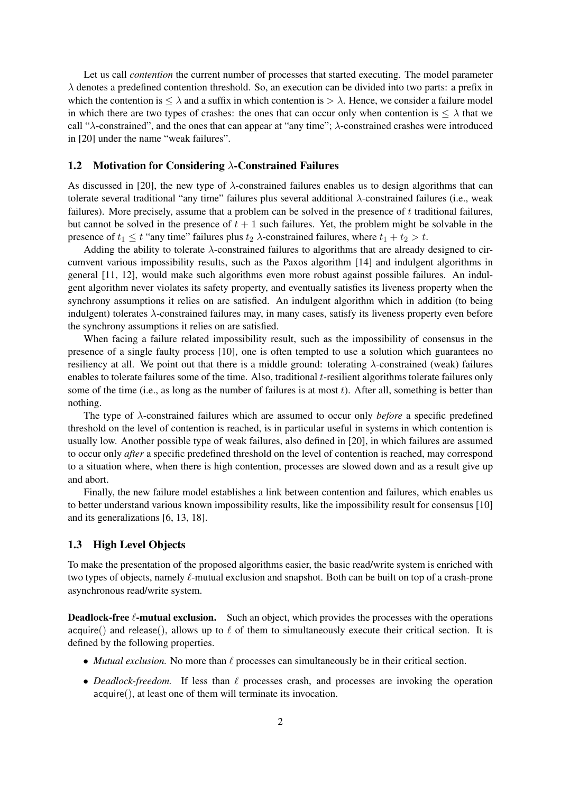Let us call *contention* the current number of processes that started executing. The model parameter λ denotes a predefined contention threshold. So, an execution can be divided into two parts: a prefix in which the contention is  $\leq \lambda$  and a suffix in which contention is  $\geq \lambda$ . Hence, we consider a failure model in which there are two types of crashes: the ones that can occur only when contention is  $\leq \lambda$  that we call "λ-constrained", and the ones that can appear at "any time"; λ-constrained crashes were introduced in [20] under the name "weak failures".

#### 1.2 Motivation for Considering λ-Constrained Failures

As discussed in [20], the new type of  $\lambda$ -constrained failures enables us to design algorithms that can tolerate several traditional "any time" failures plus several additional  $λ$ -constrained failures (i.e., weak failures). More precisely, assume that a problem can be solved in the presence of  $t$  traditional failures, but cannot be solved in the presence of  $t + 1$  such failures. Yet, the problem might be solvable in the presence of  $t_1 \leq t$  "any time" failures plus  $t_2$   $\lambda$ -constrained failures, where  $t_1 + t_2 > t$ .

Adding the ability to tolerate  $\lambda$ -constrained failures to algorithms that are already designed to circumvent various impossibility results, such as the Paxos algorithm [14] and indulgent algorithms in general [11, 12], would make such algorithms even more robust against possible failures. An indulgent algorithm never violates its safety property, and eventually satisfies its liveness property when the synchrony assumptions it relies on are satisfied. An indulgent algorithm which in addition (to being indulgent) tolerates λ-constrained failures may, in many cases, satisfy its liveness property even before the synchrony assumptions it relies on are satisfied.

When facing a failure related impossibility result, such as the impossibility of consensus in the presence of a single faulty process [10], one is often tempted to use a solution which guarantees no resiliency at all. We point out that there is a middle ground: tolerating  $\lambda$ -constrained (weak) failures enables to tolerate failures some of the time. Also, traditional t-resilient algorithms tolerate failures only some of the time (i.e., as long as the number of failures is at most  $t$ ). After all, something is better than nothing.

The type of λ-constrained failures which are assumed to occur only *before* a specific predefined threshold on the level of contention is reached, is in particular useful in systems in which contention is usually low. Another possible type of weak failures, also defined in [20], in which failures are assumed to occur only *after* a specific predefined threshold on the level of contention is reached, may correspond to a situation where, when there is high contention, processes are slowed down and as a result give up and abort.

Finally, the new failure model establishes a link between contention and failures, which enables us to better understand various known impossibility results, like the impossibility result for consensus [10] and its generalizations [6, 13, 18].

### 1.3 High Level Objects

To make the presentation of the proposed algorithms easier, the basic read/write system is enriched with two types of objects, namely  $\ell$ -mutual exclusion and snapshot. Both can be built on top of a crash-prone asynchronous read/write system.

**Deadlock-free**  $\ell$ -mutual exclusion. Such an object, which provides the processes with the operations acquire() and release(), allows up to  $\ell$  of them to simultaneously execute their critical section. It is defined by the following properties.

- *Mutual exclusion*. No more than  $\ell$  processes can simultaneously be in their critical section.
- *Deadlock-freedom.* If less than  $\ell$  processes crash, and processes are invoking the operation acquire(), at least one of them will terminate its invocation.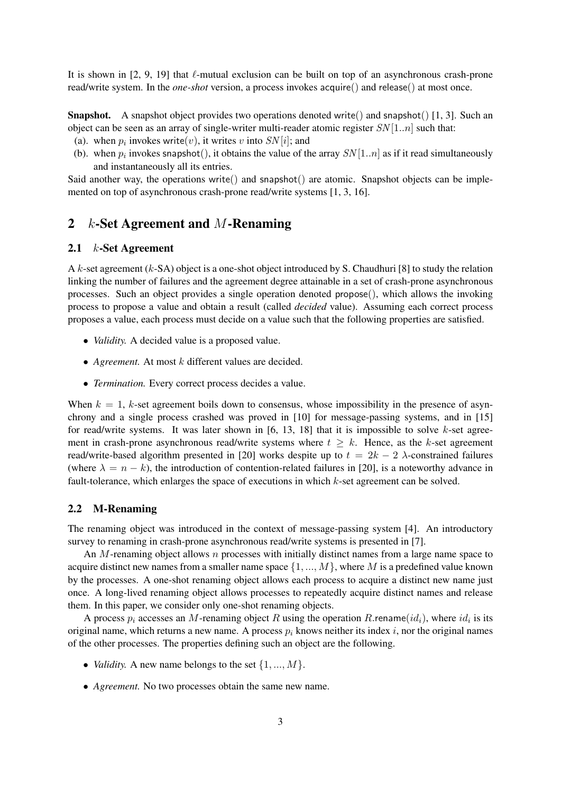It is shown in [2, 9, 19] that  $\ell$ -mutual exclusion can be built on top of an asynchronous crash-prone read/write system. In the *one-shot* version, a process invokes acquire() and release() at most once.

**Snapshot.** A snapshot object provides two operations denoted write() and snapshot() [1, 3]. Such an object can be seen as an array of single-writer multi-reader atomic register  $SN[1..n]$  such that:

- (a). when  $p_i$  invokes write $(v)$ , it writes v into  $SN[i]$ ; and
- (b). when  $p_i$  invokes snapshot(), it obtains the value of the array  $SN[1..n]$  as if it read simultaneously and instantaneously all its entries.

Said another way, the operations write() and snapshot() are atomic. Snapshot objects can be implemented on top of asynchronous crash-prone read/write systems [1, 3, 16].

## 2 k-Set Agreement and M-Renaming

#### 2.1 k-Set Agreement

A k-set agreement  $(k-SA)$  object is a one-shot object introduced by S. Chaudhuri [8] to study the relation linking the number of failures and the agreement degree attainable in a set of crash-prone asynchronous processes. Such an object provides a single operation denoted propose(), which allows the invoking process to propose a value and obtain a result (called *decided* value). Assuming each correct process proposes a value, each process must decide on a value such that the following properties are satisfied.

- *Validity.* A decided value is a proposed value.
- *Agreement.* At most k different values are decided.
- *Termination.* Every correct process decides a value.

When  $k = 1$ , k-set agreement boils down to consensus, whose impossibility in the presence of asynchrony and a single process crashed was proved in [10] for message-passing systems, and in [15] for read/write systems. It was later shown in  $[6, 13, 18]$  that it is impossible to solve k-set agreement in crash-prone asynchronous read/write systems where  $t \geq k$ . Hence, as the k-set agreement read/write-based algorithm presented in [20] works despite up to  $t = 2k - 2 \lambda$ -constrained failures (where  $\lambda = n - k$ ), the introduction of contention-related failures in [20], is a noteworthy advance in fault-tolerance, which enlarges the space of executions in which  $k$ -set agreement can be solved.

#### 2.2 M-Renaming

The renaming object was introduced in the context of message-passing system [4]. An introductory survey to renaming in crash-prone asynchronous read/write systems is presented in [7].

An  $M$ -renaming object allows  $n$  processes with initially distinct names from a large name space to acquire distinct new names from a smaller name space  $\{1, ..., M\}$ , where M is a predefined value known by the processes. A one-shot renaming object allows each process to acquire a distinct new name just once. A long-lived renaming object allows processes to repeatedly acquire distinct names and release them. In this paper, we consider only one-shot renaming objects.

A process  $p_i$  accesses an M-renaming object R using the operation R. rename $(id_i)$ , where  $id_i$  is its original name, which returns a new name. A process  $p_i$  knows neither its index i, nor the original names of the other processes. The properties defining such an object are the following.

- *Validity.* A new name belongs to the set  $\{1, ..., M\}$ .
- *Agreement.* No two processes obtain the same new name.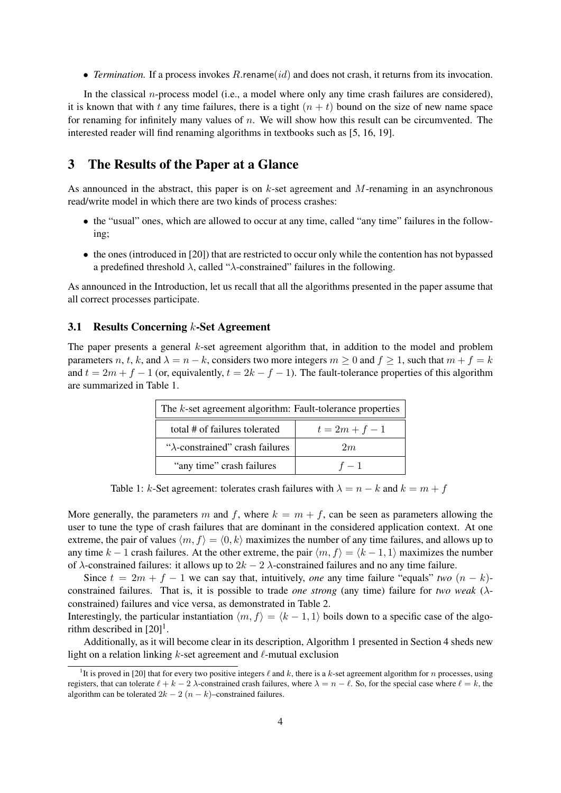• *Termination.* If a process invokes  $R$  rename( $id$ ) and does not crash, it returns from its invocation.

In the classical *n*-process model (i.e., a model where only any time crash failures are considered), it is known that with t any time failures, there is a tight  $(n + t)$  bound on the size of new name space for renaming for infinitely many values of  $n$ . We will show how this result can be circumvented. The interested reader will find renaming algorithms in textbooks such as [5, 16, 19].

## 3 The Results of the Paper at a Glance

As announced in the abstract, this paper is on  $k$ -set agreement and  $M$ -renaming in an asynchronous read/write model in which there are two kinds of process crashes:

- the "usual" ones, which are allowed to occur at any time, called "any time" failures in the following;
- the ones (introduced in [20]) that are restricted to occur only while the contention has not bypassed a predefined threshold  $\lambda$ , called " $\lambda$ -constrained" failures in the following.

As announced in the Introduction, let us recall that all the algorithms presented in the paper assume that all correct processes participate.

#### 3.1 Results Concerning k-Set Agreement

The paper presents a general  $k$ -set agreement algorithm that, in addition to the model and problem parameters n, t, k, and  $\lambda = n - k$ , considers two more integers  $m \ge 0$  and  $f \ge 1$ , such that  $m + f = k$ and  $t = 2m + f - 1$  (or, equivalently,  $t = 2k - f - 1$ ). The fault-tolerance properties of this algorithm are summarized in Table 1.

| The $k$ -set agreement algorithm: Fault-tolerance properties |                  |  |
|--------------------------------------------------------------|------------------|--|
| total # of failures tolerated                                | $t = 2m + f - 1$ |  |
| " $\lambda$ -constrained" crash failures                     | 2m               |  |
| "any time" crash failures                                    | $f-1$            |  |

Table 1: k-Set agreement: tolerates crash failures with  $\lambda = n - k$  and  $k = m + f$ 

More generally, the parameters m and f, where  $k = m + f$ , can be seen as parameters allowing the user to tune the type of crash failures that are dominant in the considered application context. At one extreme, the pair of values  $\langle m, f \rangle = \langle 0, k \rangle$  maximizes the number of any time failures, and allows up to any time k − 1 crash failures. At the other extreme, the pair  $\langle m, f \rangle = \langle k - 1, 1 \rangle$  maximizes the number of  $\lambda$ -constrained failures: it allows up to  $2k - 2 \lambda$ -constrained failures and no any time failure.

Since  $t = 2m + f - 1$  we can say that, intuitively, *one* any time failure "equals" *two*  $(n - k)$ constrained failures. That is, it is possible to trade *one strong* (any time) failure for *two weak* (λconstrained) failures and vice versa, as demonstrated in Table 2.

Interestingly, the particular instantiation  $\langle m, f \rangle = \langle k - 1, 1 \rangle$  boils down to a specific case of the algorithm described in  $[20]$ <sup>1</sup>.

Additionally, as it will become clear in its description, Algorithm 1 presented in Section 4 sheds new light on a relation linking  $k$ -set agreement and  $\ell$ -mutual exclusion

<sup>&</sup>lt;sup>1</sup>It is proved in [20] that for every two positive integers  $\ell$  and  $k$ , there is a k-set agreement algorithm for n processes, using registers, that can tolerate  $\ell + k - 2$   $\lambda$ -constrained crash failures, where  $\lambda = n - \ell$ . So, for the special case where  $\ell = k$ , the algorithm can be tolerated  $2k - 2(n - k)$ –constrained failures.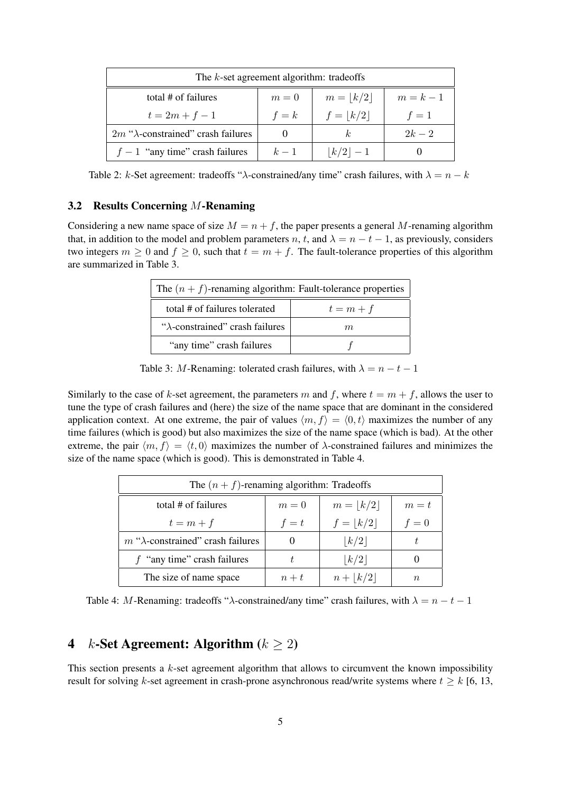| The $k$ -set agreement algorithm: tradeoffs   |         |             |         |
|-----------------------------------------------|---------|-------------|---------|
| total # of failures                           | $m=0$   | $m =  k/2 $ | $m=k-1$ |
| $t = 2m + f - 1$                              | $f = k$ | $f =  k/2 $ | $f=1$   |
| $2m$ " $\lambda$ -constrained" crash failures |         |             | $2k-2$  |
| $f-1$ "any time" crash failures               | $k-1$   | $ k/2  - 1$ |         |

Table 2: k-Set agreement: tradeoffs " $\lambda$ -constrained/any time" crash failures, with  $\lambda = n - k$ 

#### 3.2 Results Concerning M-Renaming

Considering a new name space of size  $M = n + f$ , the paper presents a general M-renaming algorithm that, in addition to the model and problem parameters n, t, and  $\lambda = n - t - 1$ , as previously, considers two integers  $m \geq 0$  and  $f \geq 0$ , such that  $t = m + f$ . The fault-tolerance properties of this algorithm are summarized in Table 3.

| The $(n + f)$ -renaming algorithm: Fault-tolerance properties |             |  |
|---------------------------------------------------------------|-------------|--|
| total # of failures tolerated                                 | $t = m + f$ |  |
| " $\lambda$ -constrained" crash failures                      | m           |  |
| "any time" crash failures                                     |             |  |

Table 3: M-Renaming: tolerated crash failures, with  $\lambda = n - t - 1$ 

Similarly to the case of k-set agreement, the parameters m and f, where  $t = m + f$ , allows the user to tune the type of crash failures and (here) the size of the name space that are dominant in the considered application context. At one extreme, the pair of values  $\langle m, f \rangle = \langle 0, t \rangle$  maximizes the number of any time failures (which is good) but also maximizes the size of the name space (which is bad). At the other extreme, the pair  $\langle m, f \rangle = \langle t, 0 \rangle$  maximizes the number of  $\lambda$ -constrained failures and minimizes the size of the name space (which is good). This is demonstrated in Table 4.

| The $(n + f)$ -renaming algorithm: Tradeoffs |                      |             |        |
|----------------------------------------------|----------------------|-------------|--------|
| total # of failures                          | $m =  k/2 $<br>$m=0$ |             | $m=t$  |
| $t = m + f$                                  | $f =  k/2 $<br>$f=t$ |             | $f=0$  |
| $m$ " $\lambda$ -constrained" crash failures |                      | k/2         | t      |
| $f$ "any time" crash failures                | t,                   | k/2         |        |
| The size of name space                       | $n+t$                | $n +  k/2 $ | $\, n$ |

Table 4: M-Renaming: tradeoffs " $\lambda$ -constrained/any time" crash failures, with  $\lambda = n - t - 1$ 

## 4 k-Set Agreement: Algorithm  $(k \ge 2)$

This section presents a  $k$ -set agreement algorithm that allows to circumvent the known impossibility result for solving k-set agreement in crash-prone asynchronous read/write systems where  $t \geq k$  [6, 13,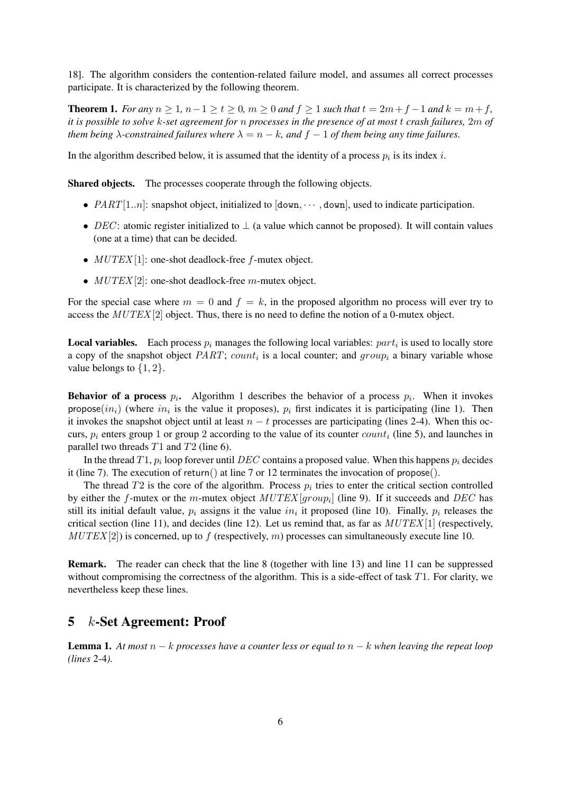18]. The algorithm considers the contention-related failure model, and assumes all correct processes participate. It is characterized by the following theorem.

**Theorem 1.** *For any*  $n \geq 1$ ,  $n-1 \geq t \geq 0$ ,  $m \geq 0$  *and*  $f \geq 1$  *such that*  $t = 2m+f-1$  *and*  $k = m+f$ , *it is possible to solve* k*-set agreement for* n *processes in the presence of at most* t *crash failures,* 2m *of them being*  $\lambda$ -constrained failures where  $\lambda = n - k$ , and  $f - 1$  of them being any time failures.

In the algorithm described below, it is assumed that the identity of a process  $p_i$  is its index i.

Shared objects. The processes cooperate through the following objects.

- $PART[1..n]$ : snapshot object, initialized to  $[down, \cdots, down]$ , used to indicate participation.
- DEC: atomic register initialized to  $\perp$  (a value which cannot be proposed). It will contain values (one at a time) that can be decided.
- $MUTEX[1]$ : one-shot deadlock-free f-mutex object.
- $MUTEX[2]$ : one-shot deadlock-free m-mutex object.

For the special case where  $m = 0$  and  $f = k$ , in the proposed algorithm no process will ever try to access the  $MUTEX$ [2] object. Thus, there is no need to define the notion of a 0-mutex object.

**Local variables.** Each process  $p_i$  manages the following local variables:  $part_i$  is used to locally store a copy of the snapshot object  $PART$ ;  $count_i$  is a local counter; and  $group_i$  a binary variable whose value belongs to  $\{1, 2\}$ .

**Behavior of a process**  $p_i$ . Algorithm 1 describes the behavior of a process  $p_i$ . When it invokes propose $(in_i)$  (where  $in_i$  is the value it proposes),  $p_i$  first indicates it is participating (line 1). Then it invokes the snapshot object until at least  $n - t$  processes are participating (lines 2-4). When this occurs,  $p_i$  enters group 1 or group 2 according to the value of its counter  $count_i$  (line 5), and launches in parallel two threads  $T1$  and  $T2$  (line 6).

In the thread T1,  $p_i$  loop forever until DEC contains a proposed value. When this happens  $p_i$  decides it (line 7). The execution of return() at line 7 or 12 terminates the invocation of propose().

The thread  $T2$  is the core of the algorithm. Process  $p_i$  tries to enter the critical section controlled by either the f-mutex or the m-mutex object  $MUTEX[group_i]$  (line 9). If it succeeds and DEC has still its initial default value,  $p_i$  assigns it the value  $in_i$  it proposed (line 10). Finally,  $p_i$  releases the critical section (line 11), and decides (line 12). Let us remind that, as far as  $MUTEX[1]$  (respectively,  $MUTEX[2]$ ) is concerned, up to f (respectively, m) processes can simultaneously execute line 10.

Remark. The reader can check that the line 8 (together with line 13) and line 11 can be suppressed without compromising the correctness of the algorithm. This is a side-effect of task  $T1$ . For clarity, we nevertheless keep these lines.

## 5 k-Set Agreement: Proof

Lemma 1. *At most* n − k *processes have a counter less or equal to* n − k *when leaving the repeat loop (lines* 2-4*).*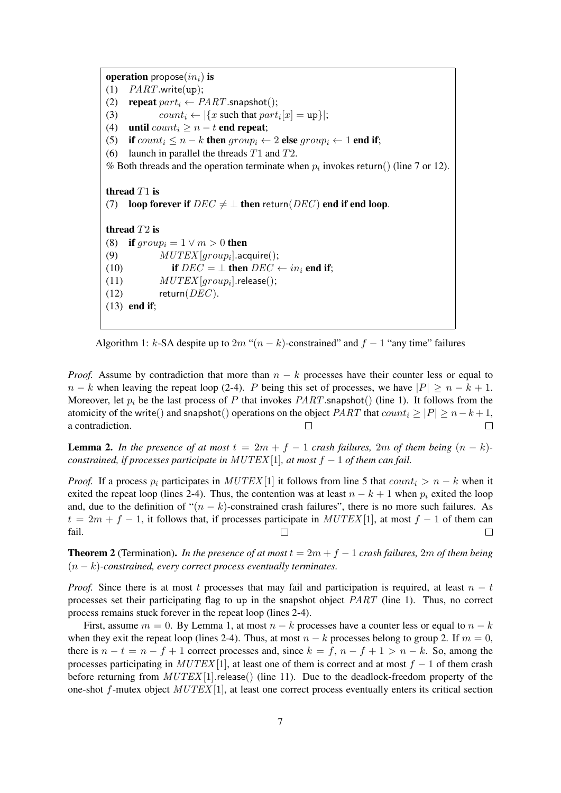operation propose $(in_i)$  is (1)  $PART.write(up);$ (2) repeat  $part_i \leftarrow PART.\text{snapshot}$ ); (3) count<sub>i</sub>  $\leftarrow |\{x \text{ such that } part_i[x] = \text{up}\}|;$ (4) until  $count_i \geq n - t$  end repeat; (5) if  $count_i \leq n - k$  then  $group_i \leftarrow 2$  else  $group_i \leftarrow 1$  end if; (6) launch in parallel the threads  $T1$  and  $T2$ . % Both threads and the operation terminate when  $p_i$  invokes return() (line 7 or 12). thread  $T1$  is (7) loop forever if  $DEC \neq \perp$  then return( $DEC$ ) end if end loop. thread T2 is (8) if  $group_i = 1 \vee m > 0$  then (9)  $MUTEX[group_i].\textsf{acquire}();$ (10) if  $DEC = \perp$  then  $DEC \leftarrow in_i$  end if;  $MUTEX\left[group_{i}\right].$ release $();$  $(12)$  return(*DEC*). (13) end if;

Algorithm 1: k-SA despite up to 2m " $(n - k)$ -constrained" and  $f - 1$  "any time" failures

*Proof.* Assume by contradiction that more than  $n - k$  processes have their counter less or equal to  $n - k$  when leaving the repeat loop (2-4). P being this set of processes, we have  $|P| \ge n - k + 1$ . Moreover, let  $p_i$  be the last process of P that invokes  $PART$  snapshot() (line 1). It follows from the atomicity of the write() and snapshot() operations on the object PART that  $count_i \geq |P| \geq n - k + 1$ , a contradiction.  $\Box$ Г

**Lemma 2.** In the presence of at most  $t = 2m + f - 1$  crash failures, 2m of them being  $(n - k)$ *constrained, if processes participate in*  $MUTEX[1]$ *, at most*  $f - 1$  *of them can fail.* 

*Proof.* If a process  $p_i$  participates in MUTEX [1] it follows from line 5 that count $i_i > n - k$  when it exited the repeat loop (lines 2-4). Thus, the contention was at least  $n - k + 1$  when  $p_i$  exited the loop and, due to the definition of " $(n - k)$ -constrained crash failures", there is no more such failures. As  $t = 2m + f - 1$ , it follows that, if processes participate in  $MUTEX[1]$ , at most  $f - 1$  of them can fail.  $\Box$  $\Box$ 

**Theorem 2** (Termination). In the presence of at most  $t = 2m + f - 1$  *crash failures,* 2m of them being (n − k)*-constrained, every correct process eventually terminates.*

*Proof.* Since there is at most t processes that may fail and participation is required, at least  $n - t$ processes set their participating flag to up in the snapshot object PART (line 1). Thus, no correct process remains stuck forever in the repeat loop (lines 2-4).

First, assume  $m = 0$ . By Lemma 1, at most  $n - k$  processes have a counter less or equal to  $n - k$ when they exit the repeat loop (lines 2-4). Thus, at most  $n - k$  processes belong to group 2. If  $m = 0$ , there is  $n - t = n - f + 1$  correct processes and, since  $k = f, n - f + 1 > n - k$ . So, among the processes participating in  $MUTEX[1]$ , at least one of them is correct and at most  $f - 1$  of them crash before returning from  $MUTEX[1]$ .release() (line 11). Due to the deadlock-freedom property of the one-shot f-mutex object  $MUTEX[1]$ , at least one correct process eventually enters its critical section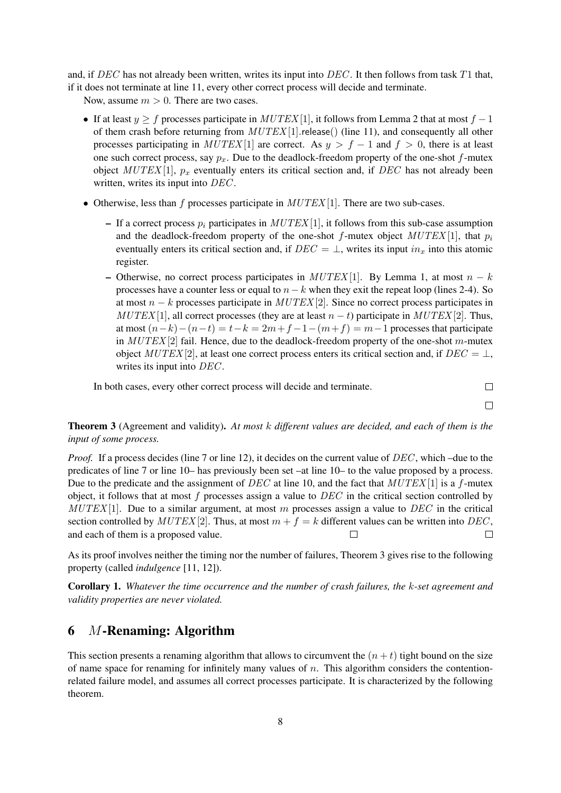and, if DEC has not already been written, writes its input into DEC. It then follows from task  $T1$  that, if it does not terminate at line 11, every other correct process will decide and terminate.

Now, assume  $m > 0$ . There are two cases.

- If at least  $y > f$  processes participate in  $MUTEX[1]$ , it follows from Lemma 2 that at most  $f 1$ of them crash before returning from  $MUTEX[1]$ .release() (line 11), and consequently all other processes participating in MUTEX [1] are correct. As  $y > f - 1$  and  $f > 0$ , there is at least one such correct process, say  $p_x$ . Due to the deadlock-freedom property of the one-shot  $f$ -mutex object  $MUTEX[1], p_x$  eventually enters its critical section and, if DEC has not already been written, writes its input into DEC.
- Otherwise, less than f processes participate in  $MUTEX[1]$ . There are two sub-cases.
	- If a correct process  $p_i$  participates in  $MUTEX[1]$ , it follows from this sub-case assumption and the deadlock-freedom property of the one-shot f-mutex object  $MUTEX[1]$ , that  $p_i$ eventually enters its critical section and, if  $DEC = \perp$ , writes its input  $in_x$  into this atomic register.
	- Otherwise, no correct process participates in  $MUTEX[1]$ . By Lemma 1, at most  $n k$ processes have a counter less or equal to  $n - k$  when they exit the repeat loop (lines 2-4). So at most  $n - k$  processes participate in  $MUTEX$  [2]. Since no correct process participates in  $MUTEX[1]$ , all correct processes (they are at least  $n - t$ ) participate in  $MUTEX[2]$ . Thus, at most  $(n-k)-(n-t)=t-k=2m+f-1-(m+f)=m-1$  processes that participate in  $MUTEX$  [2] fail. Hence, due to the deadlock-freedom property of the one-shot m-mutex object  $MUTEX$  [2], at least one correct process enters its critical section and, if  $DEC = \perp$ , writes its input into DEC.

In both cases, every other correct process will decide and terminate.

 $\Box$  $\Box$ 

Theorem 3 (Agreement and validity). *At most* k *different values are decided, and each of them is the input of some process.*

*Proof.* If a process decides (line 7 or line 12), it decides on the current value of DEC, which –due to the predicates of line 7 or line 10– has previously been set –at line 10– to the value proposed by a process. Due to the predicate and the assignment of  $DEC$  at line 10, and the fact that  $MUTEX[1]$  is a f-mutex object, it follows that at most f processes assign a value to  $DEC$  in the critical section controlled by  $MUTEX[1]$ . Due to a similar argument, at most m processes assign a value to DEC in the critical section controlled by  $MUTEX[2]$ . Thus, at most  $m + f = k$  different values can be written into DEC, and each of them is a proposed value. П  $\Box$ 

As its proof involves neither the timing nor the number of failures, Theorem 3 gives rise to the following property (called *indulgence* [11, 12]).

Corollary 1. *Whatever the time occurrence and the number of crash failures, the* k*-set agreement and validity properties are never violated.*

## 6 M-Renaming: Algorithm

This section presents a renaming algorithm that allows to circumvent the  $(n + t)$  tight bound on the size of name space for renaming for infinitely many values of  $n$ . This algorithm considers the contentionrelated failure model, and assumes all correct processes participate. It is characterized by the following theorem.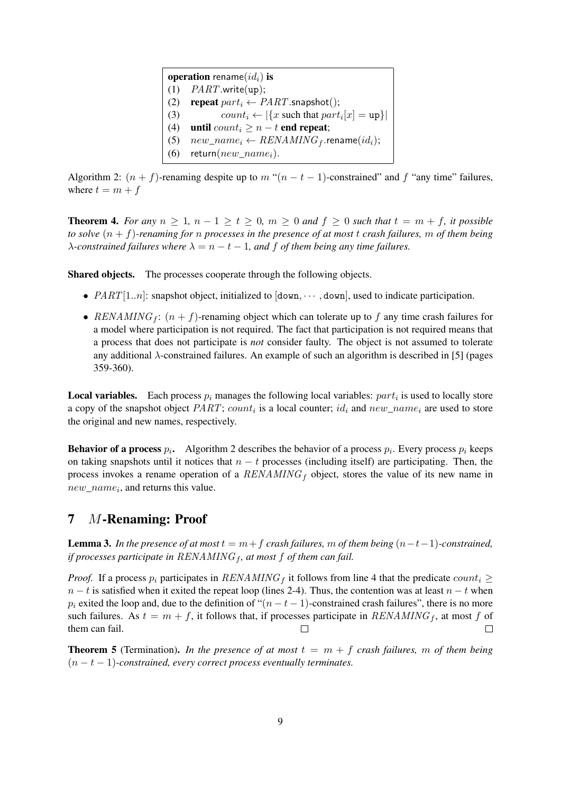operation rename $(id_i)$  is (1)  $PART.write(up);$ (2) repeat  $part_i \leftarrow PART.\text{snapshot}$ ); (3) count<sub>i</sub>  $\leftarrow |\{x \text{ such that } part_i[x] = \text{up}\}\|$ (4) until  $count_i \geq n - t$  end repeat; (5)  $new\_name_i \leftarrow RENAMING_f$ .rename $(id_i);$ (6) return( $new\_name_i$ ).

Algorithm 2:  $(n + f)$ -renaming despite up to m " $(n - t - 1)$ -constrained" and f "any time" failures, where  $t = m + f$ 

**Theorem 4.** For any  $n \geq 1$ ,  $n-1 \geq t \geq 0$ ,  $m \geq 0$  and  $f \geq 0$  such that  $t = m + f$ , it possible *to solve* (n + f)*-renaming for* n *processes in the presence of at most* t *crash failures,* m *of them being*  $\lambda$ -constrained failures where  $\lambda = n - t - 1$ , and f of them being any time failures.

Shared objects. The processes cooperate through the following objects.

- $PART[1..n]$ : snapshot object, initialized to  $[down, \cdots, down]$ , used to indicate participation.
- RENAMING<sub>f</sub>:  $(n + f)$ -renaming object which can tolerate up to f any time crash failures for a model where participation is not required. The fact that participation is not required means that a process that does not participate is *not* consider faulty. The object is not assumed to tolerate any additional  $\lambda$ -constrained failures. An example of such an algorithm is described in [5] (pages 359-360).

**Local variables.** Each process  $p_i$  manages the following local variables:  $part_i$  is used to locally store a copy of the snapshot object PART; count<sub>i</sub> is a local counter; id<sub>i</sub> and  $new\_name_i$  are used to store the original and new names, respectively.

**Behavior of a process**  $p_i$ . Algorithm 2 describes the behavior of a process  $p_i$ . Every process  $p_i$  keeps on taking snapshots until it notices that  $n - t$  processes (including itself) are participating. Then, the process invokes a rename operation of a  $RENAMING<sub>f</sub>$  object, stores the value of its new name in  $new\_name_i$ , and returns this value.

### 7 M-Renaming: Proof

**Lemma 3.** *In the presence of at most*  $t = m + f$  *crash failures, m of them being*  $(n - t - 1)$ *-constrained, if processes participate in RENAMING<sub>f</sub>, at most f of them can fail.* 

*Proof.* If a process  $p_i$  participates in RENAMING<sub>f</sub> it follows from line 4 that the predicate count<sub>i</sub> ≥  $n - t$  is satisfied when it exited the repeat loop (lines 2-4). Thus, the contention was at least  $n - t$  when  $p_i$  exited the loop and, due to the definition of " $(n - t - 1)$ -constrained crash failures", there is no more such failures. As  $t = m + f$ , it follows that, if processes participate in RENAMING<sub>f</sub>, at most f of them can fail.  $\Box$  $\Box$ 

**Theorem 5** (Termination). In the presence of at most  $t = m + f$  crash failures, m of them being  $(n - t - 1)$ -constrained, every correct process eventually terminates.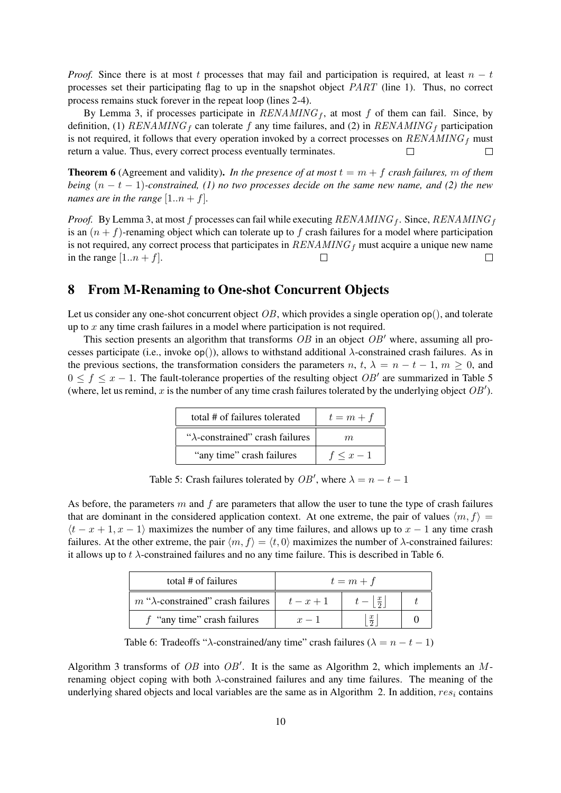*Proof.* Since there is at most t processes that may fail and participation is required, at least  $n - t$ processes set their participating flag to up in the snapshot object PART (line 1). Thus, no correct process remains stuck forever in the repeat loop (lines 2-4).

By Lemma 3, if processes participate in  $RENAMING_f$ , at most f of them can fail. Since, by definition, (1) RENAMING<sub>f</sub> can tolerate f any time failures, and (2) in RENAMING<sub>f</sub> participation is not required, it follows that every operation invoked by a correct processes on  $RENAMING_f$  must return a value. Thus, every correct process eventually terminates.  $\Box$  $\Box$ 

**Theorem 6** (Agreement and validity). *In the presence of at most*  $t = m + f$  *crash failures, m of them being*  $(n - t - 1)$ -constrained, (1) no two processes decide on the same new name, and (2) the new *names are in the range*  $[1..n + f]$ *.* 

*Proof.* By Lemma 3, at most f processes can fail while executing  $RENAMING_f$ . Since,  $RENAMING_f$ is an  $(n + f)$ -renaming object which can tolerate up to f crash failures for a model where participation is not required, any correct process that participates in  $RENAMING<sub>f</sub>$  must acquire a unique new name in the range  $[1..n + f]$ .  $\Box$  $\Box$ 

## 8 From M-Renaming to One-shot Concurrent Objects

Let us consider any one-shot concurrent object  $OB$ , which provides a single operation op(), and tolerate up to  $x$  any time crash failures in a model where participation is not required.

This section presents an algorithm that transforms  $OB$  in an object  $OB'$  where, assuming all processes participate (i.e., invoke op()), allows to withstand additional  $\lambda$ -constrained crash failures. As in the previous sections, the transformation considers the parameters  $n, t, \lambda = n - t - 1, m \ge 0$ , and  $0 \le f \le x - 1$ . The fault-tolerance properties of the resulting object OB' are summarized in Table 5 (where, let us remind, x is the number of any time crash failures tolerated by the underlying object  $OB'$ ).

| total # of failures tolerated            | $t = m + f$  |  |
|------------------------------------------|--------------|--|
| " $\lambda$ -constrained" crash failures | m            |  |
| "any time" crash failures                | $f \leq x-1$ |  |

Table 5: Crash failures tolerated by  $OB'$ , where  $\lambda = n - t - 1$ 

As before, the parameters  $m$  and  $f$  are parameters that allow the user to tune the type of crash failures that are dominant in the considered application context. At one extreme, the pair of values  $\langle m, f \rangle =$  $\langle t - x + 1, x - 1 \rangle$  maximizes the number of any time failures, and allows up to  $x - 1$  any time crash failures. At the other extreme, the pair  $\langle m, f \rangle = \langle t, 0 \rangle$  maximizes the number of  $\lambda$ -constrained failures: it allows up to t  $\lambda$ -constrained failures and no any time failure. This is described in Table 6.

| total # of failures                        | $t = m + f$ |             |  |
|--------------------------------------------|-------------|-------------|--|
| $m " \lambda$ -constrained" crash failures | $t-x+1$     |             |  |
| $f$ "any time" crash failures              | $x-1$       | $rac{x}{2}$ |  |

Table 6: Tradeoffs " $\lambda$ -constrained/any time" crash failures ( $\lambda = n - t - 1$ )

Algorithm 3 transforms of  $OB$  into  $OB'$ . It is the same as Algorithm 2, which implements an  $M$ renaming object coping with both  $\lambda$ -constrained failures and any time failures. The meaning of the underlying shared objects and local variables are the same as in Algorithm 2. In addition,  $res_i$  contains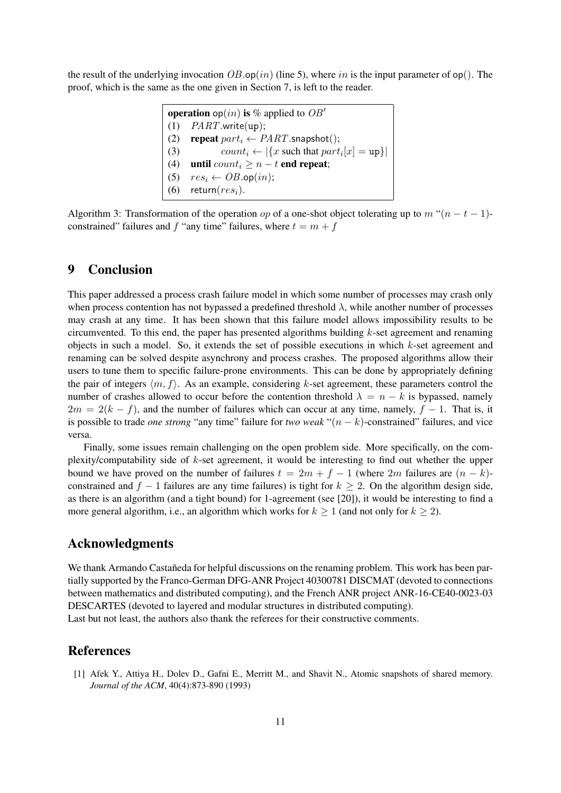the result of the underlying invocation OB.op(in) (line 5), where in is the input parameter of  $op()$ . The proof, which is the same as the one given in Section 7, is left to the reader.

```
operation op(in) is % applied to OB'(1) PART.write(up);(2) repeat part_i \leftarrow PART.snapshot();
(3) count<sub>i</sub> \leftarrow |\{x \text{ such that } part_i[x] = \text{up}\}\|(4) until count_i \geq n - t end repeat;
(5) res_i \leftarrow OB \cdot op(in);(6) return(res<sub>i</sub>).
```
Algorithm 3: Transformation of the operation op of a one-shot object tolerating up to  $m$  " $(n - t - 1)$ constrained" failures and f "any time" failures, where  $t = m + f$ 

### 9 Conclusion

This paper addressed a process crash failure model in which some number of processes may crash only when process contention has not bypassed a predefined threshold  $\lambda$ , while another number of processes may crash at any time. It has been shown that this failure model allows impossibility results to be circumvented. To this end, the paper has presented algorithms building  $k$ -set agreement and renaming objects in such a model. So, it extends the set of possible executions in which  $k$ -set agreement and renaming can be solved despite asynchrony and process crashes. The proposed algorithms allow their users to tune them to specific failure-prone environments. This can be done by appropriately defining the pair of integers  $\langle m, f \rangle$ . As an example, considering k-set agreement, these parameters control the number of crashes allowed to occur before the contention threshold  $\lambda = n - k$  is bypassed, namely  $2m = 2(k - f)$ , and the number of failures which can occur at any time, namely,  $f - 1$ . That is, it is possible to trade *one strong* "any time" failure for *two weak* " $(n - k)$ -constrained" failures, and vice versa.

Finally, some issues remain challenging on the open problem side. More specifically, on the complexity/computability side of  $k$ -set agreement, it would be interesting to find out whether the upper bound we have proved on the number of failures  $t = 2m + f - 1$  (where 2m failures are  $(n - k)$ constrained and  $f - 1$  failures are any time failures) is tight for  $k \ge 2$ . On the algorithm design side, as there is an algorithm (and a tight bound) for 1-agreement (see [20]), it would be interesting to find a more general algorithm, i.e., an algorithm which works for  $k \ge 1$  (and not only for  $k \ge 2$ ).

## Acknowledgments

We thank Armando Castañeda for helpful discussions on the renaming problem. This work has been partially supported by the Franco-German DFG-ANR Project 40300781 DISCMAT (devoted to connections between mathematics and distributed computing), and the French ANR project ANR-16-CE40-0023-03 DESCARTES (devoted to layered and modular structures in distributed computing). Last but not least, the authors also thank the referees for their constructive comments.

### References

[1] Afek Y., Attiya H., Dolev D., Gafni E., Merritt M., and Shavit N., Atomic snapshots of shared memory. *Journal of the ACM*, 40(4):873-890 (1993)